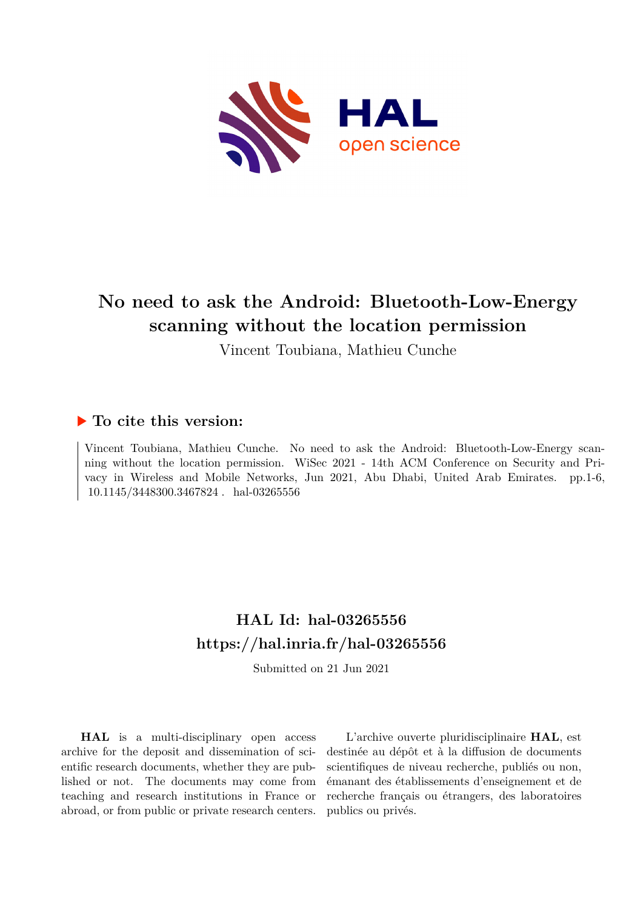

# **No need to ask the Android: Bluetooth-Low-Energy scanning without the location permission**

Vincent Toubiana, Mathieu Cunche

# **To cite this version:**

Vincent Toubiana, Mathieu Cunche. No need to ask the Android: Bluetooth-Low-Energy scanning without the location permission. WiSec 2021 - 14th ACM Conference on Security and Privacy in Wireless and Mobile Networks, Jun 2021, Abu Dhabi, United Arab Emirates. pp.1-6, 10.1145/3448300.3467824 . hal-03265556

# **HAL Id: hal-03265556 <https://hal.inria.fr/hal-03265556>**

Submitted on 21 Jun 2021

**HAL** is a multi-disciplinary open access archive for the deposit and dissemination of scientific research documents, whether they are published or not. The documents may come from teaching and research institutions in France or abroad, or from public or private research centers.

L'archive ouverte pluridisciplinaire **HAL**, est destinée au dépôt et à la diffusion de documents scientifiques de niveau recherche, publiés ou non, émanant des établissements d'enseignement et de recherche français ou étrangers, des laboratoires publics ou privés.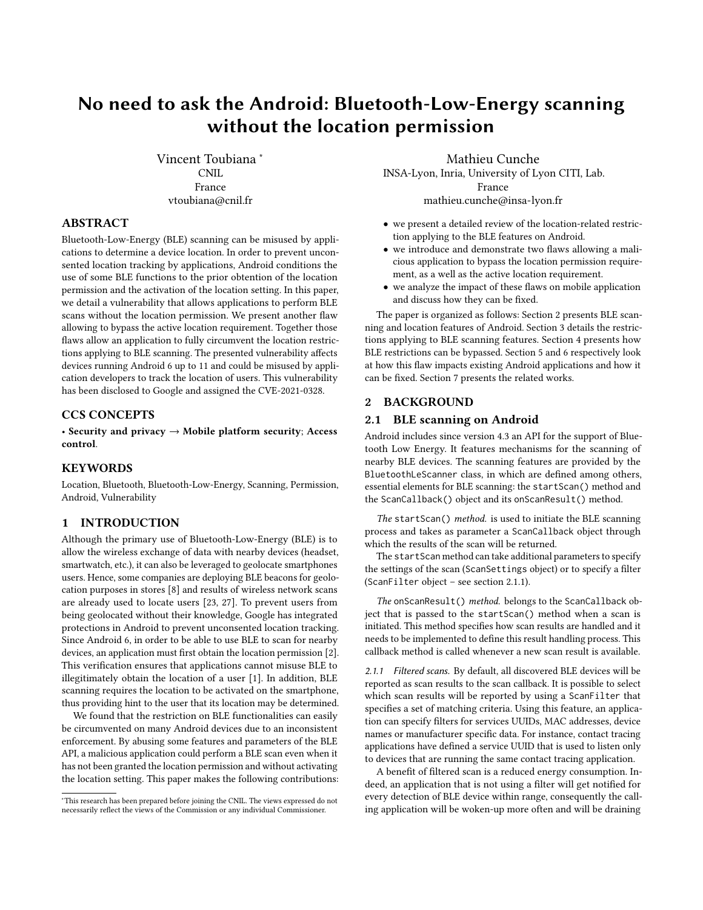# No need to ask the Android: Bluetooth-Low-Energy scanning without the location permission

Vincent Toubiana <sup>∗</sup> CNIL France vtoubiana@cnil.fr

# ABSTRACT

Bluetooth-Low-Energy (BLE) scanning can be misused by applications to determine a device location. In order to prevent unconsented location tracking by applications, Android conditions the use of some BLE functions to the prior obtention of the location permission and the activation of the location setting. In this paper, we detail a vulnerability that allows applications to perform BLE scans without the location permission. We present another flaw allowing to bypass the active location requirement. Together those flaws allow an application to fully circumvent the location restrictions applying to BLE scanning. The presented vulnerability affects devices running Android 6 up to 11 and could be misused by application developers to track the location of users. This vulnerability has been disclosed to Google and assigned the CVE-2021-0328.

#### CCS CONCEPTS

• Security and privacy → Mobile platform security; Access control.

### **KEYWORDS**

Location, Bluetooth, Bluetooth-Low-Energy, Scanning, Permission, Android, Vulnerability

#### 1 INTRODUCTION

Although the primary use of Bluetooth-Low-Energy (BLE) is to allow the wireless exchange of data with nearby devices (headset, smartwatch, etc.), it can also be leveraged to geolocate smartphones users. Hence, some companies are deploying BLE beacons for geolocation purposes in stores [8] and results of wireless network scans are already used to locate users [23, 27]. To prevent users from being geolocated without their knowledge, Google has integrated protections in Android to prevent unconsented location tracking. Since Android 6, in order to be able to use BLE to scan for nearby devices, an application must first obtain the location permission [2]. This verification ensures that applications cannot misuse BLE to illegitimately obtain the location of a user [1]. In addition, BLE scanning requires the location to be activated on the smartphone, thus providing hint to the user that its location may be determined.

We found that the restriction on BLE functionalities can easily be circumvented on many Android devices due to an inconsistent enforcement. By abusing some features and parameters of the BLE API, a malicious application could perform a BLE scan even when it has not been granted the location permission and without activating the location setting. This paper makes the following contributions:

Mathieu Cunche INSA-Lyon, Inria, University of Lyon CITI, Lab. France mathieu.cunche@insa-lyon.fr

- we present a detailed review of the location-related restriction applying to the BLE features on Android.
- we introduce and demonstrate two flaws allowing a malicious application to bypass the location permission requirement, as a well as the active location requirement.
- we analyze the impact of these flaws on mobile application and discuss how they can be fixed.

The paper is organized as follows: Section 2 presents BLE scanning and location features of Android. Section 3 details the restrictions applying to BLE scanning features. Section 4 presents how BLE restrictions can be bypassed. Section 5 and 6 respectively look at how this flaw impacts existing Android applications and how it can be fixed. Section 7 presents the related works.

#### 2 BACKGROUND

#### 2.1 BLE scanning on Android

Android includes since version 4.3 an API for the support of Bluetooth Low Energy. It features mechanisms for the scanning of nearby BLE devices. The scanning features are provided by the BluetoothLeScanner class, in which are defined among others, essential elements for BLE scanning: the startScan() method and the ScanCallback() object and its onScanResult() method.

The startScan() method. is used to initiate the BLE scanning process and takes as parameter a ScanCallback object through which the results of the scan will be returned.

The startScan method can take additional parameters to specify the settings of the scan (ScanSettings object) or to specify a filter (ScanFilter object – see section 2.1.1).

The onScanResult() method. belongs to the ScanCallback object that is passed to the startScan() method when a scan is initiated. This method specifies how scan results are handled and it needs to be implemented to define this result handling process. This callback method is called whenever a new scan result is available.

2.1.1 Filtered scans. By default, all discovered BLE devices will be reported as scan results to the scan callback. It is possible to select which scan results will be reported by using a ScanFilter that specifies a set of matching criteria. Using this feature, an application can specify filters for services UUIDs, MAC addresses, device names or manufacturer specific data. For instance, contact tracing applications have defined a service UUID that is used to listen only to devices that are running the same contact tracing application.

A benefit of filtered scan is a reduced energy consumption. Indeed, an application that is not using a filter will get notified for every detection of BLE device within range, consequently the calling application will be woken-up more often and will be draining

<sup>∗</sup>This research has been prepared before joining the CNIL. The views expressed do not necessarily reflect the views of the Commission or any individual Commissioner.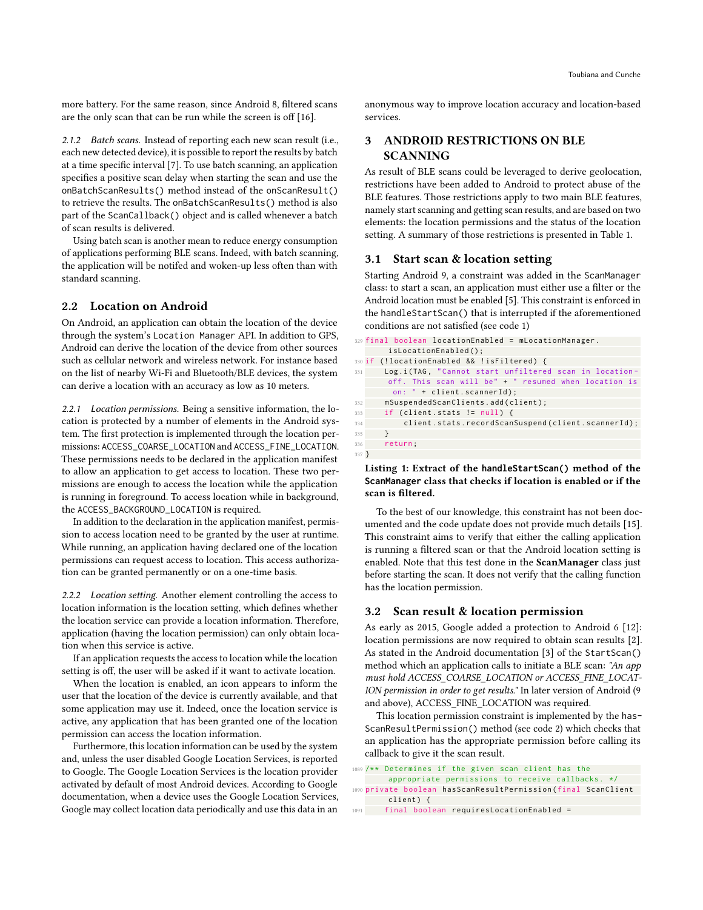more battery. For the same reason, since Android 8, filtered scans are the only scan that can be run while the screen is off [16].

2.1.2 Batch scans. Instead of reporting each new scan result (i.e., each new detected device), it is possible to report the results by batch at a time specific interval [7]. To use batch scanning, an application specifies a positive scan delay when starting the scan and use the onBatchScanResults() method instead of the onScanResult() to retrieve the results. The onBatchScanResults() method is also part of the ScanCallback() object and is called whenever a batch of scan results is delivered.

Using batch scan is another mean to reduce energy consumption of applications performing BLE scans. Indeed, with batch scanning, the application will be notifed and woken-up less often than with standard scanning.

#### 2.2 Location on Android

On Android, an application can obtain the location of the device through the system's Location Manager API. In addition to GPS, Android can derive the location of the device from other sources such as cellular network and wireless network. For instance based on the list of nearby Wi-Fi and Bluetooth/BLE devices, the system can derive a location with an accuracy as low as 10 meters.

2.2.1 Location permissions. Being a sensitive information, the location is protected by a number of elements in the Android system. The first protection is implemented through the location permissions: ACCESS\_COARSE\_LOCATION and ACCESS\_FINE\_LOCATION. These permissions needs to be declared in the application manifest to allow an application to get access to location. These two permissions are enough to access the location while the application is running in foreground. To access location while in background, the ACCESS\_BACKGROUND\_LOCATION is required.

In addition to the declaration in the application manifest, permission to access location need to be granted by the user at runtime. While running, an application having declared one of the location permissions can request access to location. This access authorization can be granted permanently or on a one-time basis.

2.2.2 Location setting. Another element controlling the access to location information is the location setting, which defines whether the location service can provide a location information. Therefore, application (having the location permission) can only obtain location when this service is active.

If an application requests the access to location while the location setting is off, the user will be asked if it want to activate location.

When the location is enabled, an icon appears to inform the user that the location of the device is currently available, and that some application may use it. Indeed, once the location service is active, any application that has been granted one of the location permission can access the location information.

Furthermore, this location information can be used by the system and, unless the user disabled Google Location Services, is reported to Google. The Google Location Services is the location provider activated by default of most Android devices. According to Google documentation, when a device uses the Google Location Services, Google may collect location data periodically and use this data in an

anonymous way to improve location accuracy and location-based services.

# 3 ANDROID RESTRICTIONS ON BLE SCANNING

As result of BLE scans could be leveraged to derive geolocation, restrictions have been added to Android to protect abuse of the BLE features. Those restrictions apply to two main BLE features, namely start scanning and getting scan results, and are based on two elements: the location permissions and the status of the location setting. A summary of those restrictions is presented in Table 1.

# 3.1 Start scan & location setting

Starting Android 9, a constraint was added in the ScanManager class: to start a scan, an application must either use a filter or the Android location must be enabled [5]. This constraint is enforced in the handleStartScan() that is interrupted if the aforementioned conditions are not satisfied (see code 1)

```
329 final boolean locationEnabled = mLocationManager .
       isLocationEnabled () ;
330 if (!locationEnabled && !isFiltered) {
331 Log.i(TAG, "Cannot start unfiltered scan in location-
      off. This scan will be" + " resumed when location is
       on: " + client.scannerId);
332 mSuspendedScanClients.add(client);
333 if (client.stats != null) {
334 client . stats . recordScanSuspend (client . scannerId) ;
335 }
336 return ;
337 }
```
#### Listing 1: Extract of the **handleStartScan()** method of the **ScanManager** class that checks if location is enabled or if the scan is filtered.

To the best of our knowledge, this constraint has not been documented and the code update does not provide much details [15]. This constraint aims to verify that either the calling application is running a filtered scan or that the Android location setting is enabled. Note that this test done in the ScanManager class just before starting the scan. It does not verify that the calling function has the location permission.

#### 3.2 Scan result & location permission

As early as 2015, Google added a protection to Android 6 [12]: location permissions are now required to obtain scan results [2]. As stated in the Android documentation [3] of the StartScan() method which an application calls to initiate a BLE scan: "An app must hold ACCESS\_COARSE\_LOCATION or ACCESS\_FINE\_LOCAT-ION permission in order to get results." In later version of Android (9 and above), ACCESS\_FINE\_LOCATION was required.

This location permission constraint is implemented by the has-ScanResultPermission() method (see code 2) which checks that an application has the appropriate permission before calling its callback to give it the scan result.

```
1089 /** Determines if the given scan client has the
       appropriate permissions to receive callbacks. */1090 private boolean hasScanResultPermission ( final ScanClient
       client) {
1091 final boolean requiresLocationEnabled =
```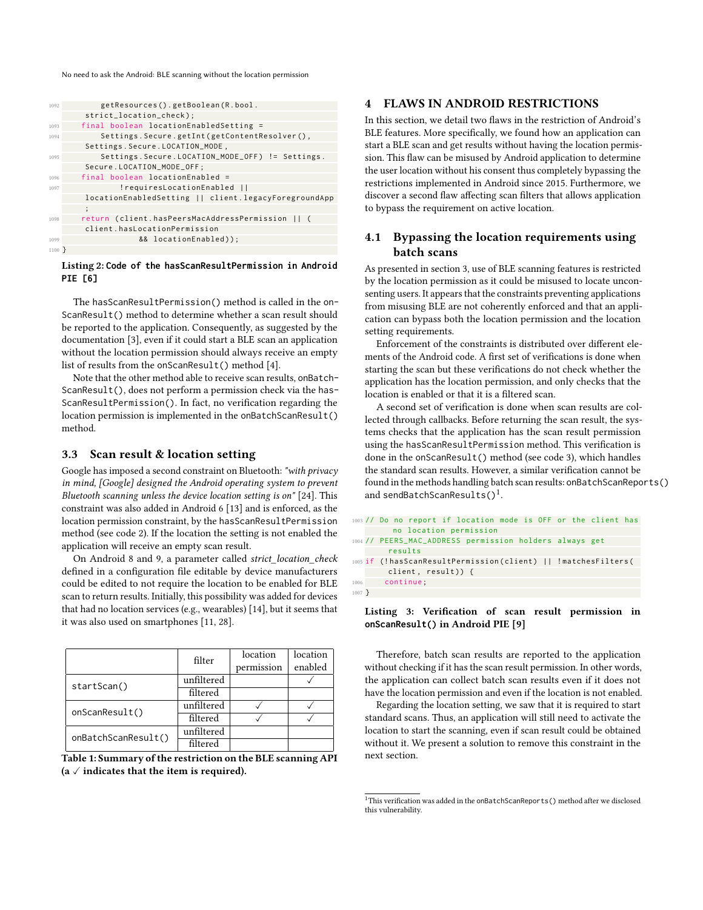No need to ask the Android: BLE scanning without the location permission

| 1092                                                  | getResources().getBoolean(R.bool.                    |  |  |  |
|-------------------------------------------------------|------------------------------------------------------|--|--|--|
|                                                       | strict_location_check);                              |  |  |  |
| 1093                                                  | final boolean locationEnabledSetting =               |  |  |  |
| Settings. Secure.getInt(getContentResolver(),<br>1094 |                                                      |  |  |  |
|                                                       | Settings. Secure. LOCATION_MODE,                     |  |  |  |
| 1095                                                  | Settings. Secure. LOCATION_MODE_OFF) != Settings.    |  |  |  |
|                                                       | Secure.LOCATION_MODE_OFF;                            |  |  |  |
| 1096                                                  | final boolean locationEnabled =                      |  |  |  |
| 1097                                                  | !requiresLocationEnabled                             |  |  |  |
|                                                       | locationEnabledSetting    client.legacyForegroundApp |  |  |  |
|                                                       | $\vdots$                                             |  |  |  |
| 1098                                                  | return (client.hasPeersMacAddressPermission          |  |  |  |
|                                                       | client.hasLocationPermission                         |  |  |  |
| 1099                                                  | && locationEnabled));                                |  |  |  |
| $1100$ }                                              |                                                      |  |  |  |

#### Listing 2: **Code of the hasScanResultPermission in Android PIE [6]**

The hasScanResultPermission() method is called in the on-ScanResult() method to determine whether a scan result should be reported to the application. Consequently, as suggested by the documentation [3], even if it could start a BLE scan an application without the location permission should always receive an empty list of results from the onScanResult() method [4].

Note that the other method able to receive scan results, onBatch-ScanResult(), does not perform a permission check via the has-ScanResultPermission(). In fact, no verification regarding the location permission is implemented in the onBatchScanResult() method.

# 3.3 Scan result & location setting

Google has imposed a second constraint on Bluetooth: "with privacy in mind, [Google] designed the Android operating system to prevent Bluetooth scanning unless the device location setting is on" [24]. This constraint was also added in Android 6 [13] and is enforced, as the location permission constraint, by the hasScanResultPermission method (see code 2). If the location the setting is not enabled the application will receive an empty scan result.

On Android 8 and 9, a parameter called strict\_location\_check defined in a configuration file editable by device manufacturers could be edited to not require the location to be enabled for BLE scan to return results. Initially, this possibility was added for devices that had no location services (e.g., wearables) [14], but it seems that it was also used on smartphones [11, 28].

|                     | filter     | location   | location |
|---------------------|------------|------------|----------|
|                     |            | permission | enabled  |
| startScan()         | unfiltered |            |          |
|                     | filtered   |            |          |
| onScanResult()      | unfiltered |            |          |
|                     | filtered   |            |          |
| onBatchScanResult() | unfiltered |            |          |
|                     | filtered   |            |          |

```
Table 1: Summary of the restriction on the BLE scanning API
(a \vee indicates that the item is required).
```
# 4 FLAWS IN ANDROID RESTRICTIONS

In this section, we detail two flaws in the restriction of Android's BLE features. More specifically, we found how an application can start a BLE scan and get results without having the location permission. This flaw can be misused by Android application to determine the user location without his consent thus completely bypassing the restrictions implemented in Android since 2015. Furthermore, we discover a second flaw affecting scan filters that allows application to bypass the requirement on active location.

# 4.1 Bypassing the location requirements using batch scans

As presented in section 3, use of BLE scanning features is restricted by the location permission as it could be misused to locate unconsenting users. It appears that the constraints preventing applications from misusing BLE are not coherently enforced and that an application can bypass both the location permission and the location setting requirements.

Enforcement of the constraints is distributed over different elements of the Android code. A first set of verifications is done when starting the scan but these verifications do not check whether the application has the location permission, and only checks that the location is enabled or that it is a filtered scan.

A second set of verification is done when scan results are collected through callbacks. Before returning the scan result, the systems checks that the application has the scan result permission using the hasScanResultPermission method. This verification is done in the onScanResult() method (see code 3), which handles the standard scan results. However, a similar verification cannot be found in the methods handling batch scan results: onBatchScanReports() and sendBatchScanResults() $^1$ .

```
1003 // Do no report if location mode is OFF or the client has
        no location permission
1004 // PEERS_MAC_ADDRESS permission holders always get
       results
1005 if (!hasScanResultPermission(client) || !matchesFilters(
       client, result)) {
1006 continue ;
1007 }
```
#### Listing 3: Verification of scan result permission in **onScanResult()** in Android PIE [9]

Therefore, batch scan results are reported to the application without checking if it has the scan result permission. In other words, the application can collect batch scan results even if it does not have the location permission and even if the location is not enabled.

Regarding the location setting, we saw that it is required to start standard scans. Thus, an application will still need to activate the location to start the scanning, even if scan result could be obtained without it. We present a solution to remove this constraint in the next section.

 $^1\mathrm{This}$  verification was added in the onBatchScanReports ( ) method after we disclosed this vulnerability.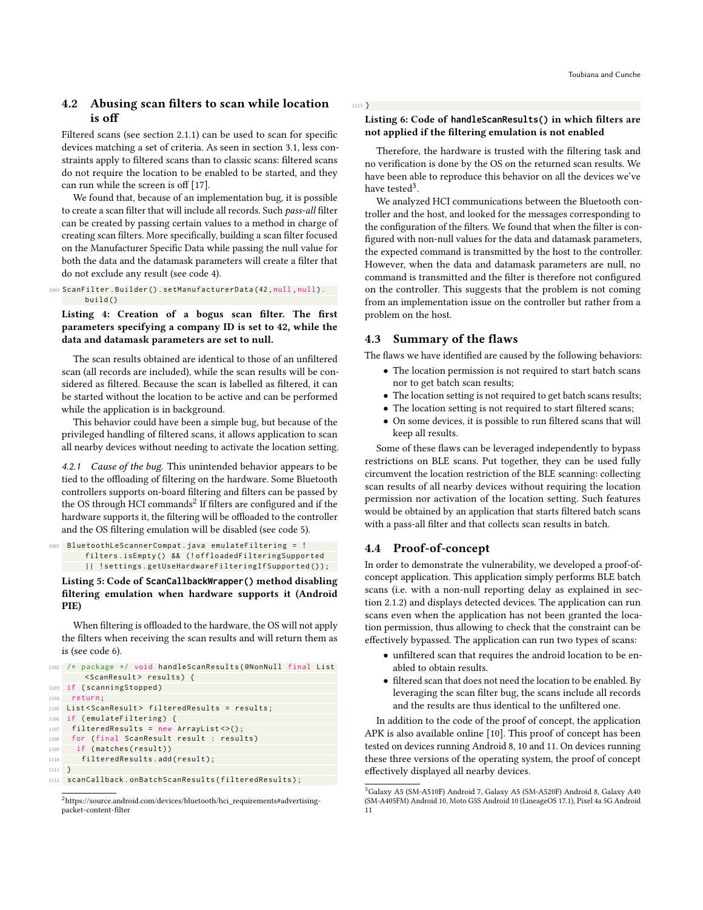# 4.2 Abusing scan filters to scan while location is off

Filtered scans (see section 2.1.1) can be used to scan for specific devices matching a set of criteria. As seen in section 3.1, less constraints apply to filtered scans than to classic scans: filtered scans do not require the location to be enabled to be started, and they can run while the screen is off [17].

We found that, because of an implementation bug, it is possible to create a scan filter that will include all records. Such pass-all filter can be created by passing certain values to a method in charge of creating scan filters. More specifically, building a scan filter focused on the Manufacturer Specific Data while passing the null value for both the data and the datamask parameters will create a filter that do not exclude any result (see code 4).

```
1003 ScanFilter . Builder () . setManufacturerData (42 , null , null ) .
        build ()
```
#### Listing 4: Creation of a bogus scan filter. The first parameters specifying a company ID is set to 42, while the data and datamask parameters are set to null.

The scan results obtained are identical to those of an unfiltered scan (all records are included), while the scan results will be considered as filtered. Because the scan is labelled as filtered, it can be started without the location to be active and can be performed while the application is in background.

This behavior could have been a simple bug, but because of the privileged handling of filtered scans, it allows application to scan all nearby devices without needing to activate the location setting.

4.2.1 Cause of the bug. This unintended behavior appears to be tied to the offloading of filtering on the hardware. Some Bluetooth controllers supports on-board filtering and filters can be passed by the OS through HCI commands $^2$  If filters are configured and if the hardware supports it, the filtering will be offloaded to the controller and the OS filtering emulation will be disabled (see code 5).

```
1003 BluetoothLeScannerCompat . java emulateFiltering = !
       filters . isEmpty () && (! offloadedFilteringSupported
       || ! settings . getUseHardwareFilteringIfSupported () ) ;
```
#### Listing 5: Code of **ScanCallbackWrapper()** method disabling filtering emulation when hardware supports it (Android PIE)

When filtering is offloaded to the hardware, the OS will not apply the filters when receiving the scan results and will return them as is (see code 6).

```
1102 /* package */ void handleScanResults (@NonNull final List
       < ScanResult > results ) {
1103 if (scanningStopped)
1104 return ;
1105 List < ScanResult > filteredResults = results ;
1106 if (emulateFiltering) {
1107 filteredResults = new ArrayList <> ();
1108 for ( final ScanResult result : results )
1109 if (matches (result))
1110 filteredResults.add (result);
1111 }
1112 scanCallback.onBatchScanResults (filteredResults);
```
#### Listing 6: Code of **handleScanResults()** in which filters are not applied if the filtering emulation is not enabled

Therefore, the hardware is trusted with the filtering task and no verification is done by the OS on the returned scan results. We have been able to reproduce this behavior on all the devices we've have tested $^3$ .

We analyzed HCI communications between the Bluetooth controller and the host, and looked for the messages corresponding to the configuration of the filters. We found that when the filter is configured with non-null values for the data and datamask parameters, the expected command is transmitted by the host to the controller. However, when the data and datamask parameters are null, no command is transmitted and the filter is therefore not configured on the controller. This suggests that the problem is not coming from an implementation issue on the controller but rather from a problem on the host.

# 4.3 Summary of the flaws

1113 }

The flaws we have identified are caused by the following behaviors:

- The location permission is not required to start batch scans nor to get batch scan results;
- The location setting is not required to get batch scans results;
- The location setting is not required to start filtered scans;
- On some devices, it is possible to run filtered scans that will keep all results.

Some of these flaws can be leveraged independently to bypass restrictions on BLE scans. Put together, they can be used fully circumvent the location restriction of the BLE scanning: collecting scan results of all nearby devices without requiring the location permission nor activation of the location setting. Such features would be obtained by an application that starts filtered batch scans with a pass-all filter and that collects scan results in batch.

# 4.4 Proof-of-concept

In order to demonstrate the vulnerability, we developed a proof-ofconcept application. This application simply performs BLE batch scans (i.e. with a non-null reporting delay as explained in section 2.1.2) and displays detected devices. The application can run scans even when the application has not been granted the location permission, thus allowing to check that the constraint can be effectively bypassed. The application can run two types of scans:

- unfiltered scan that requires the android location to be enabled to obtain results.
- filtered scan that does not need the location to be enabled. By leveraging the scan filter bug, the scans include all records and the results are thus identical to the unfiltered one.

In addition to the code of the proof of concept, the application APK is also available online [10]. This proof of concept has been tested on devices running Android 8, 10 and 11. On devices running these three versions of the operating system, the proof of concept effectively displayed all nearby devices.

<sup>2</sup>[https://source.android.com/devices/bluetooth/hci\\_requirements#advertising](https://source.android.com/devices/bluetooth/hci_requirements#advertising-packet-content-filter)[packet-content-filter](https://source.android.com/devices/bluetooth/hci_requirements#advertising-packet-content-filter)

<sup>3</sup>Galaxy A5 (SM-A510F) Android 7, Galaxy A5 (SM-A520F) Android 8, Galaxy A40 (SM-A405FM) Android 10, Moto G5S Android 10 (LineageOS 17.1), Pixel 4a 5G Android 11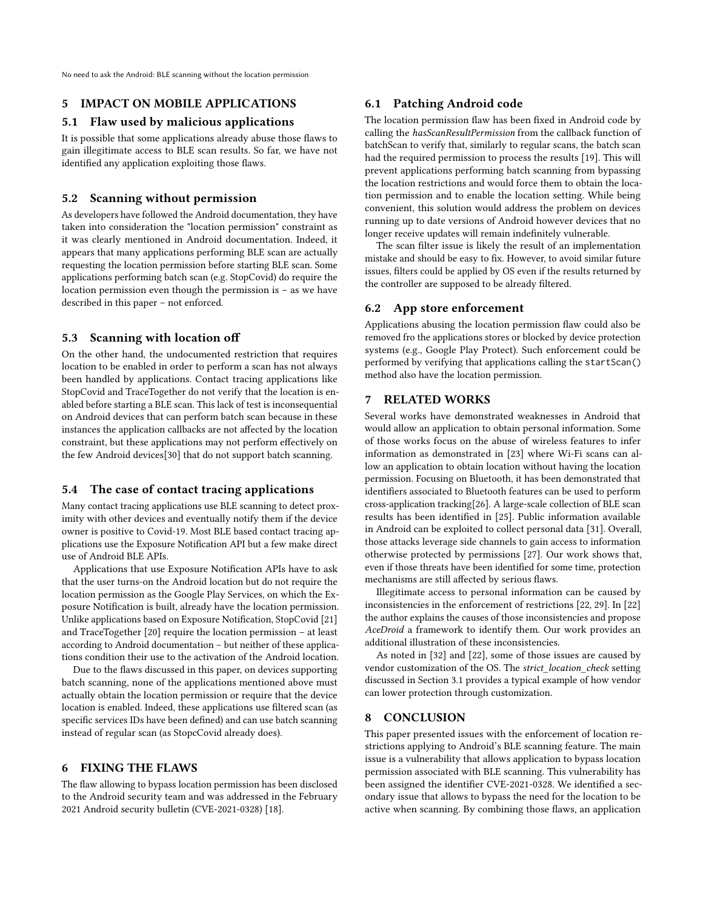No need to ask the Android: BLE scanning without the location permission

# 5 IMPACT ON MOBILE APPLICATIONS

#### 5.1 Flaw used by malicious applications

It is possible that some applications already abuse those flaws to gain illegitimate access to BLE scan results. So far, we have not identified any application exploiting those flaws.

# 5.2 Scanning without permission

As developers have followed the Android documentation, they have taken into consideration the "location permission" constraint as it was clearly mentioned in Android documentation. Indeed, it appears that many applications performing BLE scan are actually requesting the location permission before starting BLE scan. Some applications performing batch scan (e.g. StopCovid) do require the location permission even though the permission is – as we have described in this paper – not enforced.

#### 5.3 Scanning with location off

On the other hand, the undocumented restriction that requires location to be enabled in order to perform a scan has not always been handled by applications. Contact tracing applications like StopCovid and TraceTogether do not verify that the location is enabled before starting a BLE scan. This lack of test is inconsequential on Android devices that can perform batch scan because in these instances the application callbacks are not affected by the location constraint, but these applications may not perform effectively on the few Android devices[30] that do not support batch scanning.

#### 5.4 The case of contact tracing applications

Many contact tracing applications use BLE scanning to detect proximity with other devices and eventually notify them if the device owner is positive to Covid-19. Most BLE based contact tracing applications use the Exposure Notification API but a few make direct use of Android BLE APIs.

Applications that use Exposure Notification APIs have to ask that the user turns-on the Android location but do not require the location permission as the Google Play Services, on which the Exposure Notification is built, already have the location permission. Unlike applications based on Exposure Notification, StopCovid [21] and TraceTogether [20] require the location permission – at least according to Android documentation – but neither of these applications condition their use to the activation of the Android location.

Due to the flaws discussed in this paper, on devices supporting batch scanning, none of the applications mentioned above must actually obtain the location permission or require that the device location is enabled. Indeed, these applications use filtered scan (as specific services IDs have been defined) and can use batch scanning instead of regular scan (as StopcCovid already does).

#### 6 FIXING THE FLAWS

The flaw allowing to bypass location permission has been disclosed to the Android security team and was addressed in the February 2021 Android security bulletin (CVE-2021-0328) [18].

#### 6.1 Patching Android code

The location permission flaw has been fixed in Android code by calling the hasScanResultPermission from the callback function of batchScan to verify that, similarly to regular scans, the batch scan had the required permission to process the results [19]. This will prevent applications performing batch scanning from bypassing the location restrictions and would force them to obtain the location permission and to enable the location setting. While being convenient, this solution would address the problem on devices running up to date versions of Android however devices that no longer receive updates will remain indefinitely vulnerable.

The scan filter issue is likely the result of an implementation mistake and should be easy to fix. However, to avoid similar future issues, filters could be applied by OS even if the results returned by the controller are supposed to be already filtered.

#### 6.2 App store enforcement

Applications abusing the location permission flaw could also be removed fro the applications stores or blocked by device protection systems (e.g., Google Play Protect). Such enforcement could be performed by verifying that applications calling the startScan() method also have the location permission.

# 7 RELATED WORKS

Several works have demonstrated weaknesses in Android that would allow an application to obtain personal information. Some of those works focus on the abuse of wireless features to infer information as demonstrated in [23] where Wi-Fi scans can allow an application to obtain location without having the location permission. Focusing on Bluetooth, it has been demonstrated that identifiers associated to Bluetooth features can be used to perform cross-application tracking[26]. A large-scale collection of BLE scan results has been identified in [25]. Public information available in Android can be exploited to collect personal data [31]. Overall, those attacks leverage side channels to gain access to information otherwise protected by permissions [27]. Our work shows that, even if those threats have been identified for some time, protection mechanisms are still affected by serious flaws.

Illegitimate access to personal information can be caused by inconsistencies in the enforcement of restrictions [22, 29]. In [22] the author explains the causes of those inconsistencies and propose AceDroid a framework to identify them. Our work provides an additional illustration of these inconsistencies.

As noted in [32] and [22], some of those issues are caused by vendor customization of the OS. The strict\_location\_check setting discussed in Section 3.1 provides a typical example of how vendor can lower protection through customization.

#### 8 CONCLUSION

This paper presented issues with the enforcement of location restrictions applying to Android's BLE scanning feature. The main issue is a vulnerability that allows application to bypass location permission associated with BLE scanning. This vulnerability has been assigned the identifier CVE-2021-0328. We identified a secondary issue that allows to bypass the need for the location to be active when scanning. By combining those flaws, an application